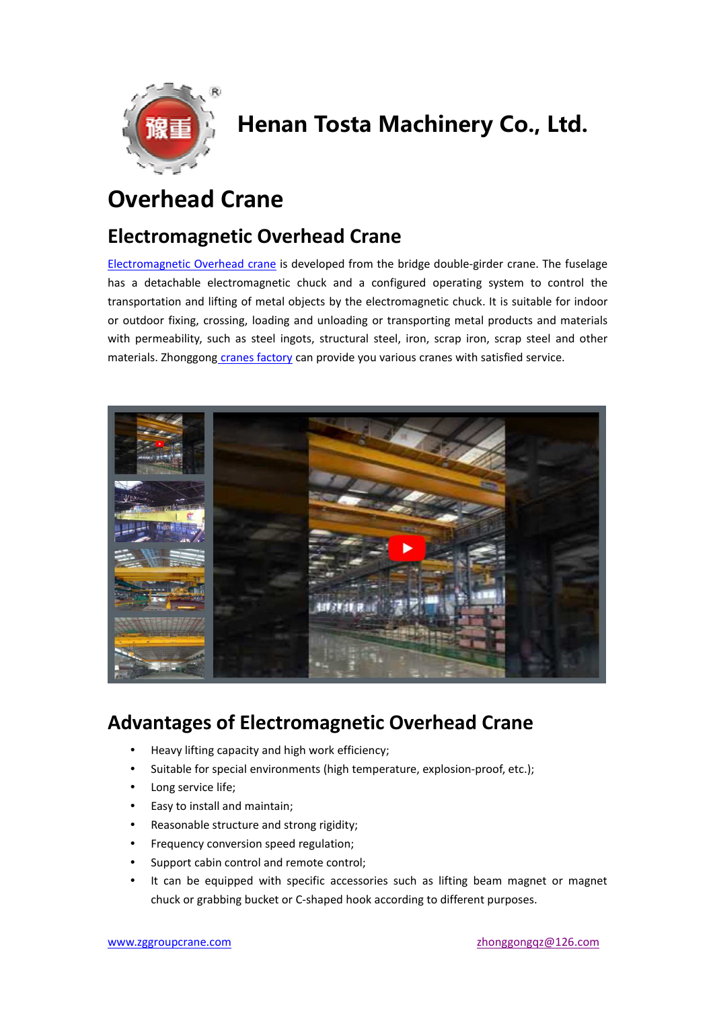

## Henan Tosta Machinery Co., Ltd.

### **Overhead Crane**

#### **Electromagnetic Overhead Crane**

Electromagnetic Overhead crane is developed from the bridge double-girder crane. The fuselage has a detachable electromagnetic chuck and a configured operating system to control the transportation and lifting of metal objects by the electromagnetic chuck. It is suitable for indoor or outdoor fixing, crossing, loading and unloading or transporting metal products and materials with permeability, such as steel ingots, structural steel, iron, scrap iron, scrap steel and other materials. Zhonggong cranes factory can provide you various cranes with satisfied service.



#### **Advantages of Electromagnetic Overhead Crane**

- Heavy lifting capacity and high work efficiency;
- Suitable for special environments (high temperature, explosion-proof, etc.);
- Long service life;
- Easy to install and maintain;
- Reasonable structure and strong rigidity;
- Frequency conversion speed regulation;
- Support cabin control and remote control;
- It can be equipped with specific accessories such as lifting beam magnet or magnet chuck or grabbing bucket or C-shaped hook according to different purposes.